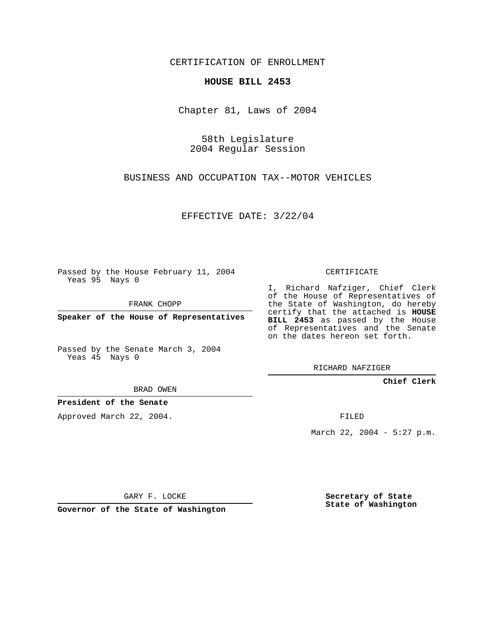CERTIFICATION OF ENROLLMENT

## **HOUSE BILL 2453**

Chapter 81, Laws of 2004

58th Legislature 2004 Regular Session

BUSINESS AND OCCUPATION TAX--MOTOR VEHICLES

EFFECTIVE DATE: 3/22/04

Passed by the House February 11, 2004 Yeas 95 Nays 0

FRANK CHOPP

**Speaker of the House of Representatives**

Passed by the Senate March 3, 2004 Yeas 45 Nays 0

BRAD OWEN

**President of the Senate**

Approved March 22, 2004.

CERTIFICATE

I, Richard Nafziger, Chief Clerk of the House of Representatives of the State of Washington, do hereby certify that the attached is **HOUSE BILL 2453** as passed by the House of Representatives and the Senate on the dates hereon set forth.

RICHARD NAFZIGER

**Chief Clerk**

FILED

March 22, 2004 - 5:27 p.m.

GARY F. LOCKE

**Governor of the State of Washington**

**Secretary of State State of Washington**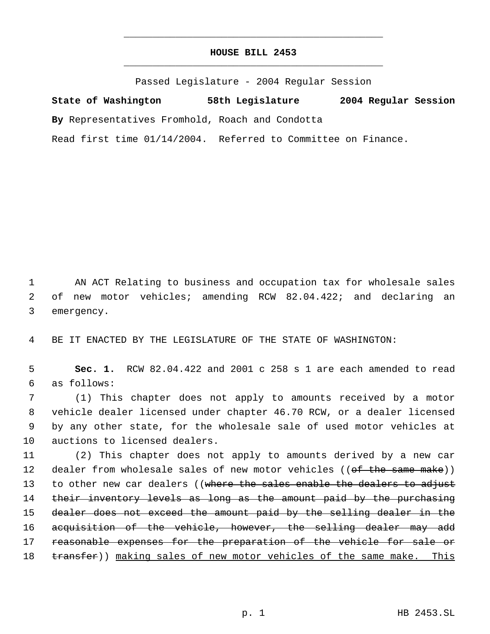## **HOUSE BILL 2453** \_\_\_\_\_\_\_\_\_\_\_\_\_\_\_\_\_\_\_\_\_\_\_\_\_\_\_\_\_\_\_\_\_\_\_\_\_\_\_\_\_\_\_\_\_

\_\_\_\_\_\_\_\_\_\_\_\_\_\_\_\_\_\_\_\_\_\_\_\_\_\_\_\_\_\_\_\_\_\_\_\_\_\_\_\_\_\_\_\_\_

Passed Legislature - 2004 Regular Session

**State of Washington 58th Legislature 2004 Regular Session By** Representatives Fromhold, Roach and Condotta Read first time 01/14/2004. Referred to Committee on Finance.

 1 AN ACT Relating to business and occupation tax for wholesale sales 2 of new motor vehicles; amending RCW 82.04.422; and declaring an 3 emergency.

4 BE IT ENACTED BY THE LEGISLATURE OF THE STATE OF WASHINGTON:

 5 **Sec. 1.** RCW 82.04.422 and 2001 c 258 s 1 are each amended to read 6 as follows:

 (1) This chapter does not apply to amounts received by a motor vehicle dealer licensed under chapter 46.70 RCW, or a dealer licensed by any other state, for the wholesale sale of used motor vehicles at auctions to licensed dealers.

11 (2) This chapter does not apply to amounts derived by a new car 12 dealer from wholesale sales of new motor vehicles ((of the same make)) 13 to other new car dealers ((where the sales enable the dealers to adjust 14 their inventory levels as long as the amount paid by the purchasing 15 dealer does not exceed the amount paid by the selling dealer in the 16 acquisition of the vehicle, however, the selling dealer may add 17 reasonable expenses for the preparation of the vehicle for sale or 18 transfer)) making sales of new motor vehicles of the same make. This